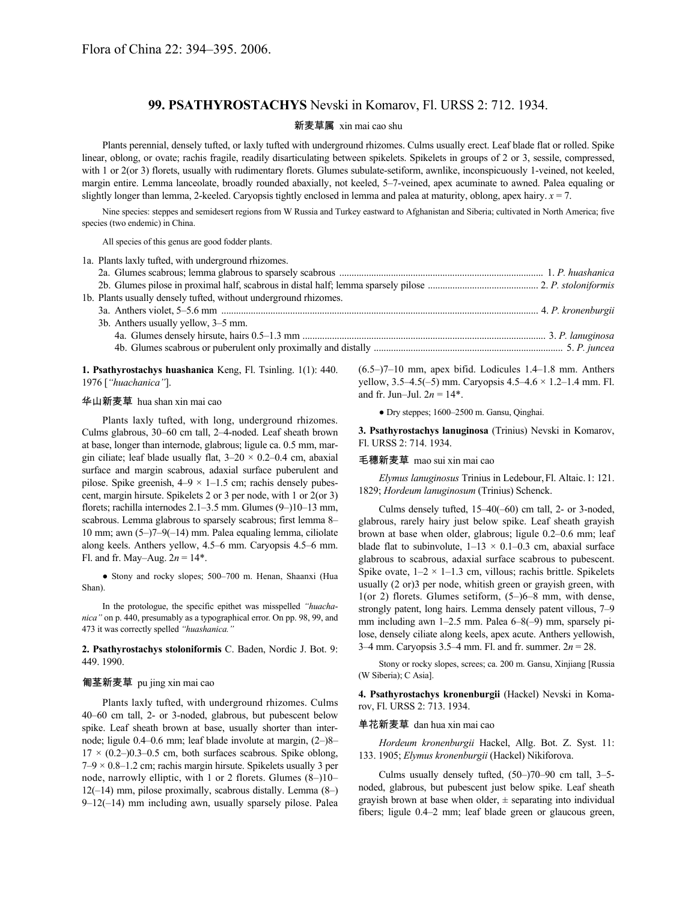# **99. PSATHYROSTACHYS** Nevski in Komarov, Fl. URSS 2: 712. 1934.

# 新麦草属 xin mai cao shu

Plants perennial, densely tufted, or laxly tufted with underground rhizomes. Culms usually erect. Leaf blade flat or rolled. Spike linear, oblong, or ovate; rachis fragile, readily disarticulating between spikelets. Spikelets in groups of 2 or 3, sessile, compressed, with 1 or 2(or 3) florets, usually with rudimentary florets. Glumes subulate-setiform, awnlike, inconspicuously 1-veined, not keeled, margin entire. Lemma lanceolate, broadly rounded abaxially, not keeled, 5–7-veined, apex acuminate to awned. Palea equaling or slightly longer than lemma, 2-keeled. Caryopsis tightly enclosed in lemma and palea at maturity, oblong, apex hairy.  $x = 7$ .

Nine species: steppes and semidesert regions from W Russia and Turkey eastward to Afghanistan and Siberia; cultivated in North America; five species (two endemic) in China.

All species of this genus are good fodder plants.

| 1a. Plants laxly tufted, with underground rhizomes.              |  |
|------------------------------------------------------------------|--|
|                                                                  |  |
|                                                                  |  |
| 1b. Plants usually densely tufted, without underground rhizomes. |  |
|                                                                  |  |
| 3b. Anthers usually yellow, 3–5 mm.                              |  |
|                                                                  |  |
|                                                                  |  |
|                                                                  |  |

**1. Psathyrostachys huashanica** Keng, Fl. Tsinling. 1(1): 440. 1976 [*"huachanica"*].

# 华山新麦草 hua shan xin mai cao

Plants laxly tufted, with long, underground rhizomes. Culms glabrous, 30–60 cm tall, 2–4-noded. Leaf sheath brown at base, longer than internode, glabrous; ligule ca. 0.5 mm, margin ciliate; leaf blade usually flat,  $3-20 \times 0.2-0.4$  cm, abaxial surface and margin scabrous, adaxial surface puberulent and pilose. Spike greenish,  $4-9 \times 1-1.5$  cm; rachis densely pubescent, margin hirsute. Spikelets 2 or 3 per node, with 1 or 2(or 3) florets; rachilla internodes 2.1–3.5 mm. Glumes (9–)10–13 mm, scabrous. Lemma glabrous to sparsely scabrous; first lemma 8– 10 mm; awn (5–)7–9(–14) mm. Palea equaling lemma, ciliolate along keels. Anthers yellow, 4.5–6 mm. Caryopsis 4.5–6 mm. Fl. and fr. May–Aug.  $2n = 14$ <sup>\*</sup>.

● Stony and rocky slopes; 500–700 m. Henan, Shaanxi (Hua Shan).

In the protologue, the specific epithet was misspelled *"huachanica"* on p. 440, presumably as a typographical error. On pp. 98, 99, and 473 it was correctly spelled *"huashanica."*

## **2. Psathyrostachys stoloniformis** C. Baden, Nordic J. Bot. 9: 449. 1990.

## 匍茎新麦草 pu jing xin mai cao

Plants laxly tufted, with underground rhizomes. Culms 40–60 cm tall, 2- or 3-noded, glabrous, but pubescent below spike. Leaf sheath brown at base, usually shorter than internode; ligule 0.4–0.6 mm; leaf blade involute at margin, (2–)8–  $17 \times (0.2{\text -}0.3{\text -}0.5 \text{ cm}$ , both surfaces scabrous. Spike oblong,  $7-9 \times 0.8-1.2$  cm; rachis margin hirsute. Spikelets usually 3 per node, narrowly elliptic, with 1 or 2 florets. Glumes (8–)10– 12(–14) mm, pilose proximally, scabrous distally. Lemma (8–) 9–12(–14) mm including awn, usually sparsely pilose. Palea

(6.5–)7–10 mm, apex bifid. Lodicules 1.4–1.8 mm. Anthers yellow,  $3.5-4.5(-5)$  mm. Caryopsis  $4.5-4.6 \times 1.2-1.4$  mm. Fl. and fr. Jun–Jul.  $2n = 14$ <sup>\*</sup>.

● Dry steppes; 1600–2500 m. Gansu, Qinghai.

**3. Psathyrostachys lanuginosa** (Trinius) Nevski in Komarov, Fl. URSS 2: 714. 1934.

#### 毛穗新麦草 mao sui xin mai cao

*Elymus lanuginosus* Trinius in Ledebour,Fl. Altaic.1: 121. 1829; *Hordeum lanuginosum* (Trinius) Schenck.

Culms densely tufted, 15–40(–60) cm tall, 2- or 3-noded, glabrous, rarely hairy just below spike. Leaf sheath grayish brown at base when older, glabrous; ligule 0.2–0.6 mm; leaf blade flat to subinvolute,  $1-13 \times 0.1-0.3$  cm, abaxial surface glabrous to scabrous, adaxial surface scabrous to pubescent. Spike ovate,  $1-2 \times 1-1.3$  cm, villous; rachis brittle. Spikelets usually (2 or)3 per node, whitish green or grayish green, with 1(or 2) florets. Glumes setiform, (5–)6–8 mm, with dense, strongly patent, long hairs. Lemma densely patent villous, 7–9 mm including awn 1–2.5 mm. Palea 6–8(–9) mm, sparsely pilose, densely ciliate along keels, apex acute. Anthers yellowish, 3–4 mm. Caryopsis 3.5–4 mm. Fl. and fr. summer. 2*n* = 28.

Stony or rocky slopes, screes; ca. 200 m. Gansu, Xinjiang [Russia (W Siberia); C Asia].

**4. Psathyrostachys kronenburgii** (Hackel) Nevski in Komarov, Fl. URSS 2: 713. 1934.

### 单花新麦草 dan hua xin mai cao

*Hordeum kronenburgii* Hackel, Allg. Bot. Z. Syst. 11: 133. 1905; *Elymus kronenburgii* (Hackel) Nikiforova.

Culms usually densely tufted, (50–)70–90 cm tall, 3–5 noded, glabrous, but pubescent just below spike. Leaf sheath grayish brown at base when older,  $\pm$  separating into individual fibers; ligule 0.4–2 mm; leaf blade green or glaucous green,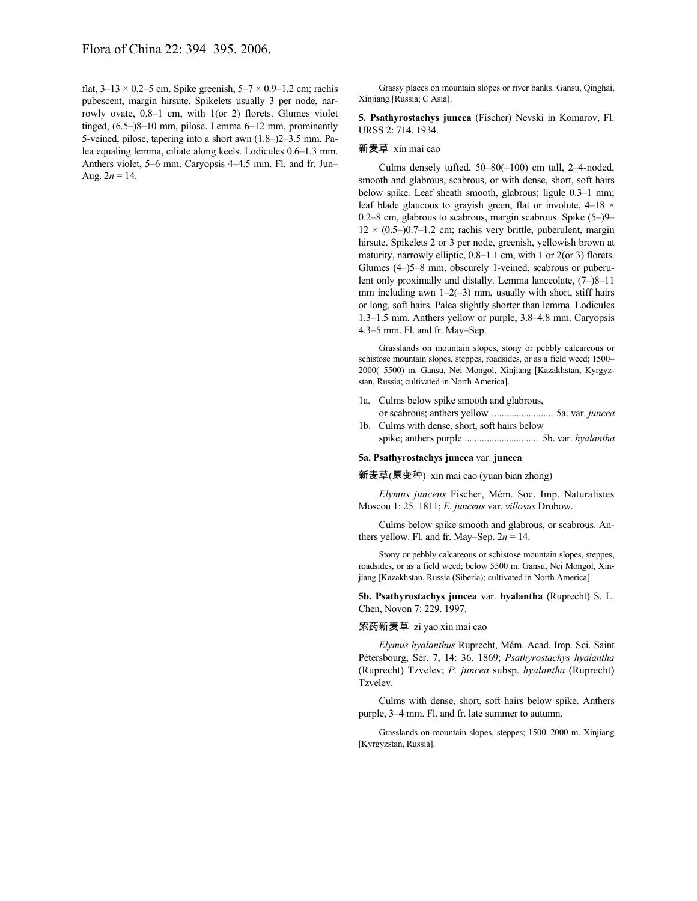flat,  $3-13 \times 0.2-5$  cm. Spike greenish,  $5-7 \times 0.9-1.2$  cm; rachis pubescent, margin hirsute. Spikelets usually 3 per node, narrowly ovate, 0.8–1 cm, with 1(or 2) florets. Glumes violet tinged, (6.5–)8–10 mm, pilose. Lemma 6–12 mm, prominently 5-veined, pilose, tapering into a short awn (1.8–)2–3.5 mm. Palea equaling lemma, ciliate along keels. Lodicules 0.6–1.3 mm. Anthers violet, 5–6 mm. Caryopsis 4–4.5 mm. Fl. and fr. Jun– Aug.  $2n = 14$ .

Grassy places on mountain slopes or river banks. Gansu, Qinghai, Xinjiang [Russia; C Asia].

**5. Psathyrostachys juncea** (Fischer) Nevski in Komarov, Fl. URSS 2: 714. 1934.

### 新麦草 xin mai cao

Culms densely tufted, 50–80(–100) cm tall, 2–4-noded, smooth and glabrous, scabrous, or with dense, short, soft hairs below spike. Leaf sheath smooth, glabrous; ligule 0.3–1 mm; leaf blade glaucous to grayish green, flat or involute,  $4-18 \times$ 0.2–8 cm, glabrous to scabrous, margin scabrous. Spike (5–)9–  $12 \times (0.5-)0.7-1.2$  cm; rachis very brittle, puberulent, margin hirsute. Spikelets 2 or 3 per node, greenish, yellowish brown at maturity, narrowly elliptic, 0.8–1.1 cm, with 1 or 2(or 3) florets. Glumes (4–)5–8 mm, obscurely 1-veined, scabrous or puberulent only proximally and distally. Lemma lanceolate, (7–)8–11 mm including awn  $1-2(-3)$  mm, usually with short, stiff hairs or long, soft hairs. Palea slightly shorter than lemma. Lodicules 1.3–1.5 mm. Anthers yellow or purple, 3.8–4.8 mm. Caryopsis 4.3–5 mm. Fl. and fr. May–Sep.

Grasslands on mountain slopes, stony or pebbly calcareous or schistose mountain slopes, steppes, roadsides, or as a field weed; 1500– 2000(–5500) m. Gansu, Nei Mongol, Xinjiang [Kazakhstan, Kyrgyzstan, Russia; cultivated in North America].

- 1a. Culms below spike smooth and glabrous, or scabrous; anthers yellow ......................... 5a. var. *juncea*
- 1b. Culms with dense, short, soft hairs below spike; anthers purple .............................. 5b. var. *hyalantha*

#### **5a. Psathyrostachys juncea** var. **juncea**

新麦草(原变种) xin mai cao (yuan bian zhong)

*Elymus junceus* Fischer, Mém. Soc. Imp. Naturalistes Moscou 1: 25. 1811; *E. junceus* var. *villosus* Drobow.

Culms below spike smooth and glabrous, or scabrous. Anthers yellow. Fl. and fr. May–Sep.  $2n = 14$ .

Stony or pebbly calcareous or schistose mountain slopes, steppes, roadsides, or as a field weed; below 5500 m. Gansu, Nei Mongol, Xinjiang [Kazakhstan, Russia (Siberia); cultivated in North America].

**5b. Psathyrostachys juncea** var. **hyalantha** (Ruprecht) S. L. Chen, Novon 7: 229. 1997.

#### 紫药新麦草 zi yao xin mai cao

*Elymus hyalanthus* Ruprecht, Mém. Acad. Imp. Sci. Saint Pétersbourg, Sér. 7, 14: 36. 1869; *Psathyrostachys hyalantha* (Ruprecht) Tzvelev; *P. juncea* subsp. *hyalantha* (Ruprecht) Tzvelev.

Culms with dense, short, soft hairs below spike. Anthers purple, 3–4 mm. Fl. and fr. late summer to autumn.

Grasslands on mountain slopes, steppes; 1500–2000 m. Xinjiang [Kyrgyzstan, Russia].